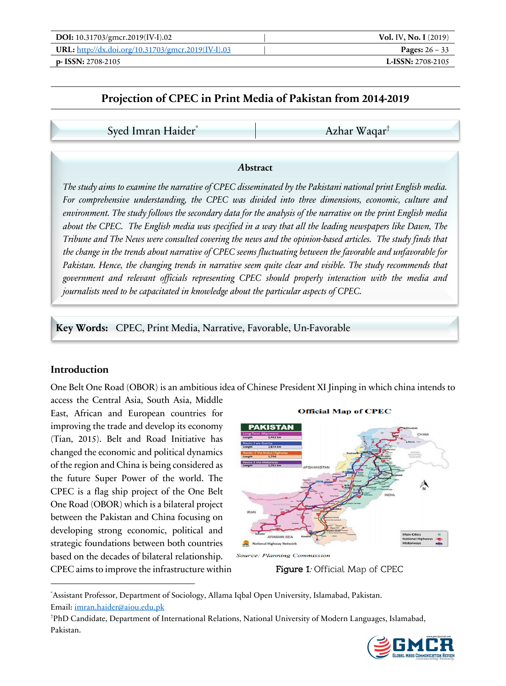| <b>DOI:</b> 10.31703/gmcr.2019(IV-I).02            | <b>Vol. IV, No. I</b> (2019) |
|----------------------------------------------------|------------------------------|
| URL: http://dx.doi.org/10.31703/gmcr.2019(IV-I).03 | <b>Pages:</b> $26 - 33$      |
| $p-$ ISSN: 2708-2105                               | L-ISSN: $2708-2105$          |

# **Projection of CPEC in Print Media of Pakistan from 2014-2019**

Syed Imran Haider<sup>\*</sup> Azhar Waqar<sup>†</sup>

#### *A***bstract**

*The study aims to examine the narrative of CPEC disseminated by the Pakistani national print English media. For comprehensive understanding, the CPEC was divided into three dimensions, economic, culture and environment. The study follows the secondary data for the analysis of the narrative on the print English media about the CPEC. The English media was specified in a way that all the leading newspapers like Dawn, The Tribune and The News were consulted covering the news and the opinion-based articles. The study finds that the change in the trends about narrative of CPEC seems fluctuating between the favorable and unfavorable for Pakistan. Hence, the changing trends in narrative seem quite clear and visible. The study recommends that government and relevant officials representing CPEC should properly interaction with the media and journalists need to be capacitated in knowledge about the particular aspects of CPEC.*

**Key Words:** CPEC, Print Media, Narrative, Favorable, Un-Favorable

### **Introduction**

One Belt One Road (OBOR) is an ambitious idea of Chinese President XI Jinping in which china intends to

access the Central Asia, South Asia, Middle East, African and European countries for improving the trade and develop its economy (Tian, 2015). Belt and Road Initiative has changed the economic and political dynamics of the region and China is being considered as the future Super Power of the world. The CPEC is a flag ship project of the One Belt One Road (OBOR) which is a bilateral project between the Pakistan and China focusing on developing strong economic, political and strategic foundations between both countries based on the decades of bilateral relationship. CPEC aims to improve the infrastructure within

#### **Official Map of CPEC**



**Source: Planning Commission** 

Figure 1: Official Map of CPEC

\* Assistant Professor, Department of Sociology, Allama Iqbal Open University, Islamabad, Pakistan. Email: imran.haider@aiou.edu.pk

† PhD Candidate, Department of International Relations, National University of Modern Languages, Islamabad, Pakistan.

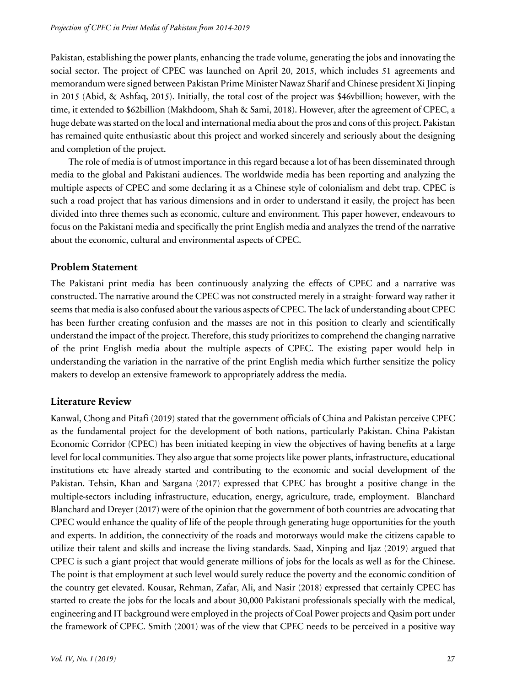Pakistan, establishing the power plants, enhancing the trade volume, generating the jobs and innovating the social sector. The project of CPEC was launched on April 20, 2015, which includes 51 agreements and memorandum were signed between Pakistan Prime Minister Nawaz Sharif and Chinese president Xi Jinping in 2015 (Abid, & Ashfaq, 2015). Initially, the total cost of the project was \$46vbillion; however, with the time, it extended to \$62billion (Makhdoom, Shah & Sami, 2018). However, after the agreement of CPEC, a huge debate was started on the local and international media about the pros and cons of this project. Pakistan has remained quite enthusiastic about this project and worked sincerely and seriously about the designing and completion of the project.

The role of media is of utmost importance in this regard because a lot of has been disseminated through media to the global and Pakistani audiences. The worldwide media has been reporting and analyzing the multiple aspects of CPEC and some declaring it as a Chinese style of colonialism and debt trap. CPEC is such a road project that has various dimensions and in order to understand it easily, the project has been divided into three themes such as economic, culture and environment. This paper however, endeavours to focus on the Pakistani media and specifically the print English media and analyzes the trend of the narrative about the economic, cultural and environmental aspects of CPEC.

## **Problem Statement**

The Pakistani print media has been continuously analyzing the effects of CPEC and a narrative was constructed. The narrative around the CPEC was not constructed merely in a straight- forward way rather it seems that media is also confused about the various aspects of CPEC. The lack of understanding about CPEC has been further creating confusion and the masses are not in this position to clearly and scientifically understand the impact of the project. Therefore, this study prioritizes to comprehend the changing narrative of the print English media about the multiple aspects of CPEC. The existing paper would help in understanding the variation in the narrative of the print English media which further sensitize the policy makers to develop an extensive framework to appropriately address the media.

# **Literature Review**

Kanwal, Chong and Pitafi (2019) stated that the government officials of China and Pakistan perceive CPEC as the fundamental project for the development of both nations, particularly Pakistan. China Pakistan Economic Corridor (CPEC) has been initiated keeping in view the objectives of having benefits at a large level for local communities. They also argue that some projects like power plants, infrastructure, educational institutions etc have already started and contributing to the economic and social development of the Pakistan. Tehsin, Khan and Sargana (2017) expressed that CPEC has brought a positive change in the multiple-sectors including infrastructure, education, energy, agriculture, trade, employment. Blanchard Blanchard and Dreyer (2017) were of the opinion that the government of both countries are advocating that CPEC would enhance the quality of life of the people through generating huge opportunities for the youth and experts. In addition, the connectivity of the roads and motorways would make the citizens capable to utilize their talent and skills and increase the living standards. Saad, Xinping and Ijaz (2019) argued that CPEC is such a giant project that would generate millions of jobs for the locals as well as for the Chinese. The point is that employment at such level would surely reduce the poverty and the economic condition of the country get elevated. Kousar, Rehman, Zafar, Ali, and Nasir (2018) expressed that certainly CPEC has started to create the jobs for the locals and about 30,000 Pakistani professionals specially with the medical, engineering and IT background were employed in the projects of Coal Power projects and Qasim port under the framework of CPEC. Smith (2001) was of the view that CPEC needs to be perceived in a positive way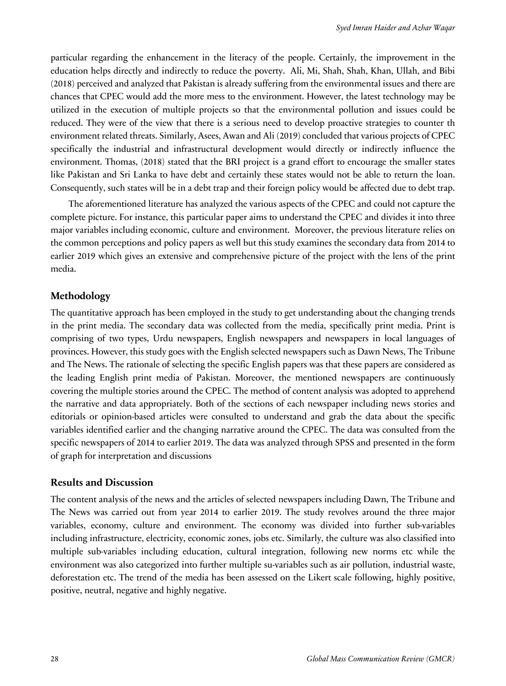particular regarding the enhancement in the literacy of the people. Certainly, the improvement in the education helps directly and indirectly to reduce the poverty. Ali, Mi, Shah, Shah, Khan, Ullah, and Bibi (2018) perceived and analyzed that Pakistan is already suffering from the environmental issues and there are chances that CPEC would add the more mess to the environment. However, the latest technology may be utilized in the execution of multiple projects so that the environmental pollution and issues could be reduced. They were of the view that there is a serious need to develop proactive strategies to counter th environment related threats. Similarly, Asees, Awan and Ali (2019) concluded that various projects of CPEC specifically the industrial and infrastructural development would directly or indirectly influence the environment. Thomas, (2018) stated that the BRI project is a grand effort to encourage the smaller states like Pakistan and Sri Lanka to have debt and certainly these states would not be able to return the loan. Consequently, such states will be in a debt trap and their foreign policy would be affected due to debt trap.

The aforementioned literature has analyzed the various aspects of the CPEC and could not capture the complete picture. For instance, this particular paper aims to understand the CPEC and divides it into three major variables including economic, culture and environment. Moreover, the previous literature relies on the common perceptions and policy papers as well but this study examines the secondary data from 2014 to earlier 2019 which gives an extensive and comprehensive picture of the project with the lens of the print media.

### **Methodology**

The quantitative approach has been employed in the study to get understanding about the changing trends in the print media. The secondary data was collected from the media, specifically print media. Print is comprising of two types, Urdu newspapers, English newspapers and newspapers in local languages of provinces. However, this study goes with the English selected newspapers such as Dawn News, The Tribune and The News. The rationale of selecting the specific English papers was that these papers are considered as the leading English print media of Pakistan. Moreover, the mentioned newspapers are continuously covering the multiple stories around the CPEC. The method of content analysis was adopted to apprehend the narrative and data appropriately. Both of the sections of each newspaper including news stories and editorials or opinion-based articles were consulted to understand and grab the data about the specific variables identified earlier and the changing narrative around the CPEC. The data was consulted from the specific newspapers of 2014 to earlier 2019. The data was analyzed through SPSS and presented in the form of graph for interpretation and discussions

### **Results and Discussion**

The content analysis of the news and the articles of selected newspapers including Dawn, The Tribune and The News was carried out from year 2014 to earlier 2019. The study revolves around the three major variables, economy, culture and environment. The economy was divided into further sub-variables including infrastructure, electricity, economic zones, jobs etc. Similarly, the culture was also classified into multiple sub-variables including education, cultural integration, following new norms etc while the environment was also categorized into further multiple su-variables such as air pollution, industrial waste, deforestation etc. The trend of the media has been assessed on the Likert scale following, highly positive, positive, neutral, negative and highly negative.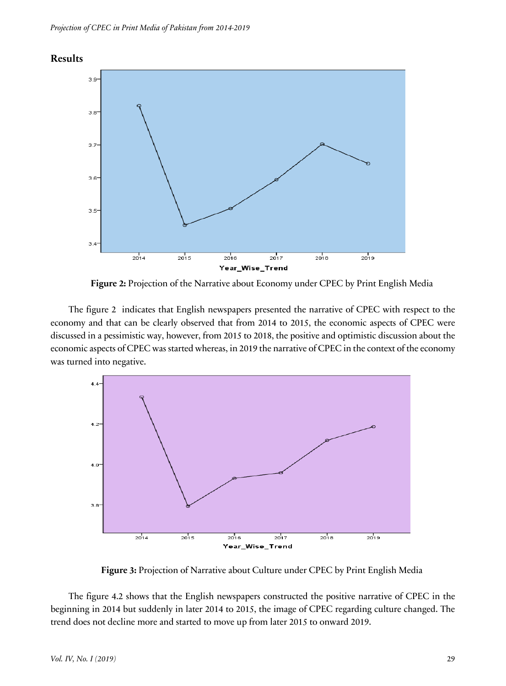



**Figure 2:** Projection of the Narrative about Economy under CPEC by Print English Media

The figure 2 indicates that English newspapers presented the narrative of CPEC with respect to the economy and that can be clearly observed that from 2014 to 2015, the economic aspects of CPEC were discussed in a pessimistic way, however, from 2015 to 2018, the positive and optimistic discussion about the economic aspects of CPEC was started whereas, in 2019 the narrative of CPEC in the context of the economy was turned into negative.



**Figure 3:** Projection of Narrative about Culture under CPEC by Print English Media

The figure 4.2 shows that the English newspapers constructed the positive narrative of CPEC in the beginning in 2014 but suddenly in later 2014 to 2015, the image of CPEC regarding culture changed. The trend does not decline more and started to move up from later 2015 to onward 2019.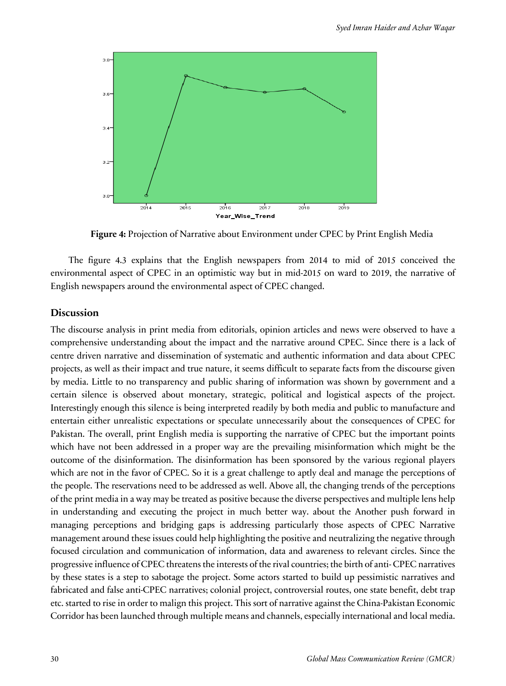

**Figure 4:** Projection of Narrative about Environment under CPEC by Print English Media

The figure 4.3 explains that the English newspapers from 2014 to mid of 2015 conceived the environmental aspect of CPEC in an optimistic way but in mid-2015 on ward to 2019, the narrative of English newspapers around the environmental aspect of CPEC changed.

### **Discussion**

The discourse analysis in print media from editorials, opinion articles and news were observed to have a comprehensive understanding about the impact and the narrative around CPEC. Since there is a lack of centre driven narrative and dissemination of systematic and authentic information and data about CPEC projects, as well as their impact and true nature, it seems difficult to separate facts from the discourse given by media. Little to no transparency and public sharing of information was shown by government and a certain silence is observed about monetary, strategic, political and logistical aspects of the project. Interestingly enough this silence is being interpreted readily by both media and public to manufacture and entertain either unrealistic expectations or speculate unnecessarily about the consequences of CPEC for Pakistan. The overall, print English media is supporting the narrative of CPEC but the important points which have not been addressed in a proper way are the prevailing misinformation which might be the outcome of the disinformation. The disinformation has been sponsored by the various regional players which are not in the favor of CPEC. So it is a great challenge to aptly deal and manage the perceptions of the people. The reservations need to be addressed as well. Above all, the changing trends of the perceptions of the print media in a way may be treated as positive because the diverse perspectives and multiple lens help in understanding and executing the project in much better way. about the Another push forward in managing perceptions and bridging gaps is addressing particularly those aspects of CPEC Narrative management around these issues could help highlighting the positive and neutralizing the negative through focused circulation and communication of information, data and awareness to relevant circles. Since the progressive influence of CPEC threatens the interests of the rival countries; the birth of anti- CPEC narratives by these states is a step to sabotage the project. Some actors started to build up pessimistic narratives and fabricated and false anti-CPEC narratives; colonial project, controversial routes, one state benefit, debt trap etc. started to rise in order to malign this project. This sort of narrative against the China-Pakistan Economic Corridor has been launched through multiple means and channels, especially international and local media.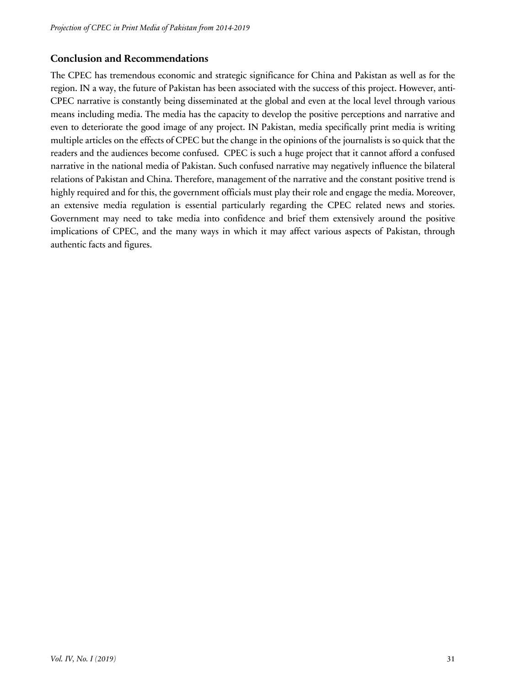# **Conclusion and Recommendations**

The CPEC has tremendous economic and strategic significance for China and Pakistan as well as for the region. IN a way, the future of Pakistan has been associated with the success of this project. However, anti-CPEC narrative is constantly being disseminated at the global and even at the local level through various means including media. The media has the capacity to develop the positive perceptions and narrative and even to deteriorate the good image of any project. IN Pakistan, media specifically print media is writing multiple articles on the effects of CPEC but the change in the opinions of the journalists is so quick that the readers and the audiences become confused. CPEC is such a huge project that it cannot afford a confused narrative in the national media of Pakistan. Such confused narrative may negatively influence the bilateral relations of Pakistan and China. Therefore, management of the narrative and the constant positive trend is highly required and for this, the government officials must play their role and engage the media. Moreover, an extensive media regulation is essential particularly regarding the CPEC related news and stories. Government may need to take media into confidence and brief them extensively around the positive implications of CPEC, and the many ways in which it may affect various aspects of Pakistan, through authentic facts and figures.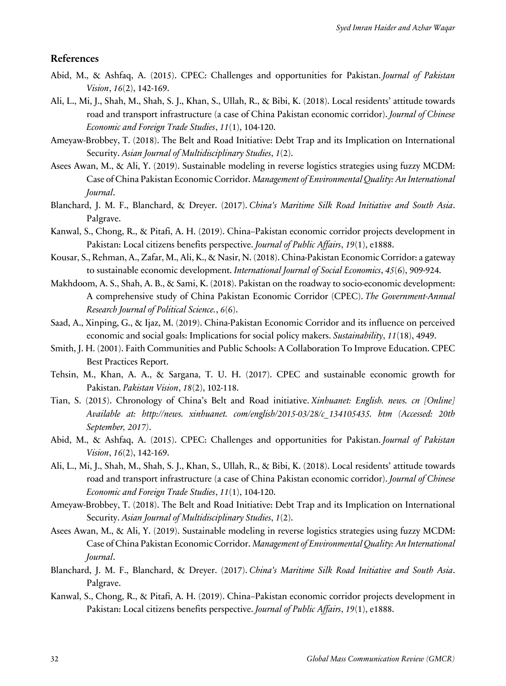#### **References**

- Abid, M., & Ashfaq, A. (2015). CPEC: Challenges and opportunities for Pakistan. *Journal of Pakistan Vision*, *16*(2), 142-169.
- Ali, L., Mi, J., Shah, M., Shah, S. J., Khan, S., Ullah, R., & Bibi, K. (2018). Local residents' attitude towards road and transport infrastructure (a case of China Pakistan economic corridor). *Journal of Chinese Economic and Foreign Trade Studies*, *11*(1), 104-120.
- Ameyaw-Brobbey, T. (2018). The Belt and Road Initiative: Debt Trap and its Implication on International Security. *Asian Journal of Multidisciplinary Studies*, *1*(2).
- Asees Awan, M., & Ali, Y. (2019). Sustainable modeling in reverse logistics strategies using fuzzy MCDM: Case of China Pakistan Economic Corridor. *Management of Environmental Quality: An International Journal*.
- Blanchard, J. M. F., Blanchard, & Dreyer. (2017). *China's Maritime Silk Road Initiative and South Asia*. Palgrave.
- Kanwal, S., Chong, R., & Pitafi, A. H. (2019). China–Pakistan economic corridor projects development in Pakistan: Local citizens benefits perspective. *Journal of Public Affairs*, *19*(1), e1888.
- Kousar, S., Rehman, A., Zafar, M., Ali, K., & Nasir, N. (2018). China-Pakistan Economic Corridor: a gateway to sustainable economic development. *International Journal of Social Economics*, *45*(6), 909-924.
- Makhdoom, A. S., Shah, A. B., & Sami, K. (2018). Pakistan on the roadway to socio-economic development: A comprehensive study of China Pakistan Economic Corridor (CPEC). *The Government-Annual Research Journal of Political Science.*, *6*(6).
- Saad, A., Xinping, G., & Ijaz, M. (2019). China-Pakistan Economic Corridor and its influence on perceived economic and social goals: Implications for social policy makers. *Sustainability*, *11*(18), 4949.
- Smith, J. H. (2001). Faith Communities and Public Schools: A Collaboration To Improve Education. CPEC Best Practices Report.
- Tehsin, M., Khan, A. A., & Sargana, T. U. H. (2017). CPEC and sustainable economic growth for Pakistan. *Pakistan Vision*, *18*(2), 102-118.
- Tian, S. (2015). Chronology of China's Belt and Road initiative. *Xinhuanet: English. news. cn [Online] Available at: http://news. xinhuanet. com/english/2015-03/28/c\_134105435. htm (Accessed: 20th September, 2017)*.
- Abid, M., & Ashfaq, A. (2015). CPEC: Challenges and opportunities for Pakistan. *Journal of Pakistan Vision*, *16*(2), 142-169.
- Ali, L., Mi, J., Shah, M., Shah, S. J., Khan, S., Ullah, R., & Bibi, K. (2018). Local residents' attitude towards road and transport infrastructure (a case of China Pakistan economic corridor). *Journal of Chinese Economic and Foreign Trade Studies*, *11*(1), 104-120.
- Ameyaw-Brobbey, T. (2018). The Belt and Road Initiative: Debt Trap and its Implication on International Security. *Asian Journal of Multidisciplinary Studies*, *1*(2).
- Asees Awan, M., & Ali, Y. (2019). Sustainable modeling in reverse logistics strategies using fuzzy MCDM: Case of China Pakistan Economic Corridor. *Management of Environmental Quality: An International Journal*.
- Blanchard, J. M. F., Blanchard, & Dreyer. (2017). *China's Maritime Silk Road Initiative and South Asia*. Palgrave.
- Kanwal, S., Chong, R., & Pitafi, A. H. (2019). China–Pakistan economic corridor projects development in Pakistan: Local citizens benefits perspective. *Journal of Public Affairs*, *19*(1), e1888.